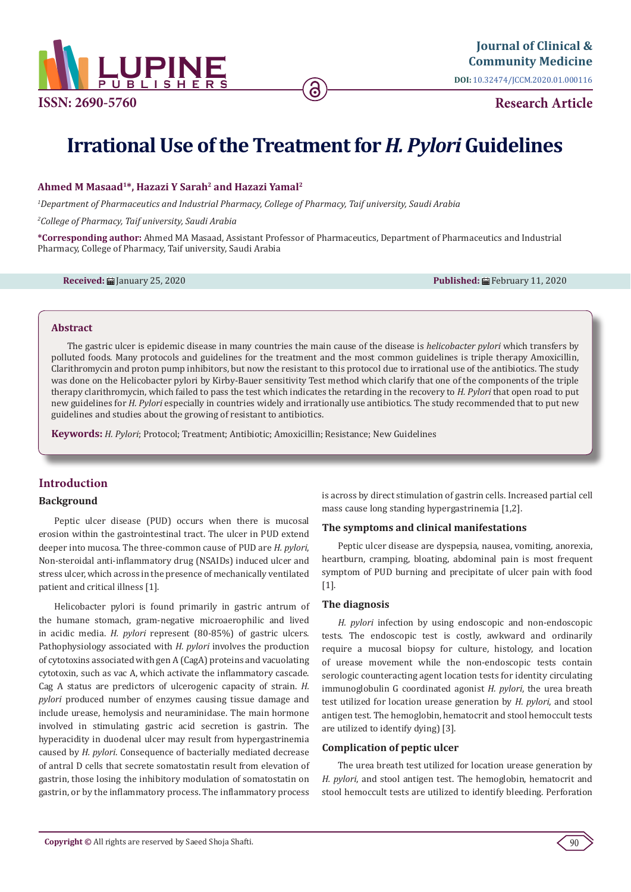

**DOI:** [10.32474/JCCM.2020.01.0001](http://dx.doi.org/10.32474/JCCM.2020.01.000116)16

**Research Article**

# **Irrational Use of the Treatment for** *H. Pylori* **Guidelines**

## **Ahmed M Masaad1\*, Hazazi Y Sarah2 and Hazazi Yamal2**

*1 Department of Pharmaceutics and Industrial Pharmacy, College of Pharmacy, Taif university, Saudi Arabia*

*2 College of Pharmacy, Taif university, Saudi Arabia*

**\*Corresponding author:** Ahmed MA Masaad, Assistant Professor of Pharmaceutics, Department of Pharmaceutics and Industrial Pharmacy, College of Pharmacy, Taif university, Saudi Arabia

**Received:** January 25, 2020 **Published:** February 11, 2020

#### **Abstract**

The gastric ulcer is epidemic disease in many countries the main cause of the disease is *helicobacter pylori* which transfers by polluted foods. Many protocols and guidelines for the treatment and the most common guidelines is triple therapy Amoxicillin, Clarithromycin and proton pump inhibitors, but now the resistant to this protocol due to irrational use of the antibiotics. The study was done on the Helicobacter pylori by Kirby-Bauer sensitivity Test method which clarify that one of the components of the triple therapy clarithromycin, which failed to pass the test which indicates the retarding in the recovery to *H. Pylori* that open road to put new guidelines for *H. Pylori* especially in countries widely and irrationally use antibiotics. The study recommended that to put new guidelines and studies about the growing of resistant to antibiotics.

**Keywords:** *H. Pylori*; Protocol; Treatment; Antibiotic; Amoxicillin; Resistance; New Guidelines

# **Introduction**

## **Background**

Peptic ulcer disease (PUD) occurs when there is mucosal erosion within the gastrointestinal tract. The ulcer in PUD extend deeper into mucosa. The three-common cause of PUD are *H. pylori*, Non-steroidal anti-inflammatory drug (NSAIDs) induced ulcer and stress ulcer, which across in the presence of mechanically ventilated patient and critical illness [1].

Helicobacter pylori is found primarily in gastric antrum of the humane stomach, gram-negative microaerophilic and lived in acidic media. *H. pylori* represent (80-85%) of gastric ulcers. Pathophysiology associated with *H. pylori* involves the production of cytotoxins associated with gen A (CagA) proteins and vacuolating cytotoxin, such as vac A, which activate the inflammatory cascade. Cag A status are predictors of ulcerogenic capacity of strain. *H. pylori* produced number of enzymes causing tissue damage and include urease, hemolysis and neuraminidase. The main hormone involved in stimulating gastric acid secretion is gastrin. The hyperacidity in duodenal ulcer may result from hypergastrinemia caused by *H. pylori*. Consequence of bacterially mediated decrease of antral D cells that secrete somatostatin result from elevation of gastrin, those losing the inhibitory modulation of somatostatin on gastrin, or by the inflammatory process. The inflammatory process

is across by direct stimulation of gastrin cells. Increased partial cell mass cause long standing hypergastrinemia [1,2].

#### **The symptoms and clinical manifestations**

Peptic ulcer disease are dyspepsia, nausea, vomiting, anorexia, heartburn, cramping, bloating, abdominal pain is most frequent symptom of PUD burning and precipitate of ulcer pain with food [1].

#### **The diagnosis**

*H. pylori* infection by using endoscopic and non-endoscopic tests. The endoscopic test is costly, awkward and ordinarily require a mucosal biopsy for culture, histology, and location of urease movement while the non-endoscopic tests contain serologic counteracting agent location tests for identity circulating immunoglobulin G coordinated agonist *H. pylori*, the urea breath test utilized for location urease generation by *H. pylori*, and stool antigen test. The hemoglobin, hematocrit and stool hemoccult tests are utilized to identify dying) [3].

## **Complication of peptic ulcer**

The urea breath test utilized for location urease generation by *H. pylori*, and stool antigen test. The hemoglobin, hematocrit and stool hemoccult tests are utilized to identify bleeding. Perforation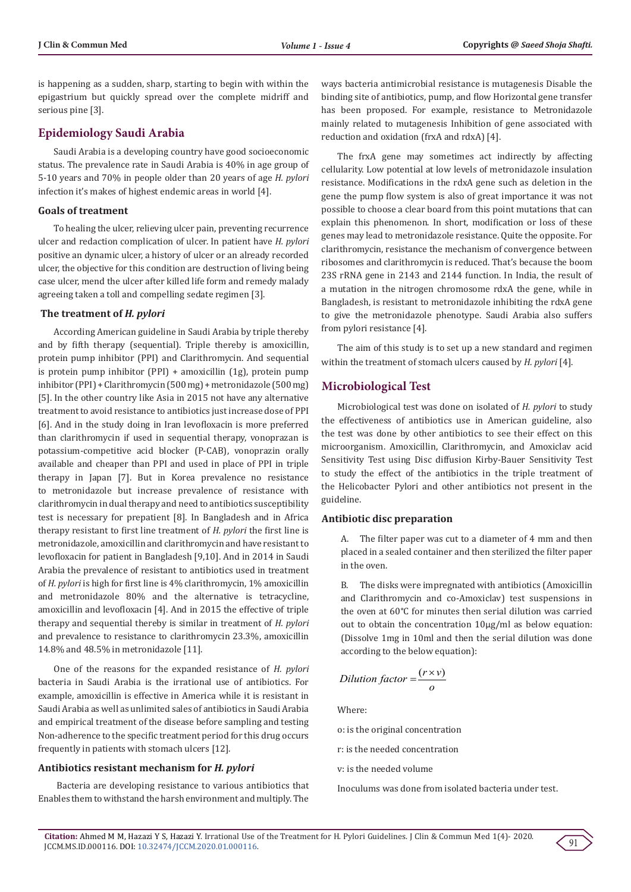is happening as a sudden, sharp, starting to begin with within the epigastrium but quickly spread over the complete midriff and serious pine [3].

# **Epidemiology Saudi Arabia**

Saudi Arabia is a developing country have good socioeconomic status. The prevalence rate in Saudi Arabia is 40% in age group of 5-10 years and 70% in people older than 20 years of age *H. pylori* infection it's makes of highest endemic areas in world [4].

## **Goals of treatment**

To healing the ulcer, relieving ulcer pain, preventing recurrence ulcer and redaction complication of ulcer. In patient have *H. pylori* positive an dynamic ulcer, a history of ulcer or an already recorded ulcer, the objective for this condition are destruction of living being case ulcer, mend the ulcer after killed life form and remedy malady agreeing taken a toll and compelling sedate regimen [3].

#### **The treatment of** *H. pylori*

According American guideline in Saudi Arabia by triple thereby and by fifth therapy (sequential). Triple thereby is amoxicillin, protein pump inhibitor (PPI) and Clarithromycin. And sequential is protein pump inhibitor (PPI) + amoxicillin (1g), protein pump inhibitor (PPI) + Clarithromycin (500 mg) + metronidazole (500 mg) [5]. In the other country like Asia in 2015 not have any alternative treatment to avoid resistance to antibiotics just increase dose of PPI [6]. And in the study doing in Iran levofloxacin is more preferred than clarithromycin if used in sequential therapy, vonoprazan is potassium-competitive acid blocker (P-CAB), vonoprazin orally available and cheaper than PPI and used in place of PPI in triple therapy in Japan [7]. But in Korea prevalence no resistance to metronidazole but increase prevalence of resistance with clarithromycin in dual therapy and need to antibiotics susceptibility test is necessary for prepatient [8]. In Bangladesh and in Africa therapy resistant to first line treatment of *H. pylori* the first line is metronidazole, amoxicillin and clarithromycin and have resistant to levofloxacin for patient in Bangladesh [9,10]. And in 2014 in Saudi Arabia the prevalence of resistant to antibiotics used in treatment of *H. pylori* is high for first line is 4% clarithromycin, 1% amoxicillin and metronidazole 80% and the alternative is tetracycline, amoxicillin and levofloxacin [4]. And in 2015 the effective of triple therapy and sequential thereby is similar in treatment of *H. pylori* and prevalence to resistance to clarithromycin 23.3%, amoxicillin 14.8% and 48.5% in metronidazole [11].

One of the reasons for the expanded resistance of *H. pylori* bacteria in Saudi Arabia is the irrational use of antibiotics. For example, amoxicillin is effective in America while it is resistant in Saudi Arabia as well as unlimited sales of antibiotics in Saudi Arabia and empirical treatment of the disease before sampling and testing Non-adherence to the specific treatment period for this drug occurs frequently in patients with stomach ulcers [12].

#### **Antibiotics resistant mechanism for** *H. pylori*

 Bacteria are developing resistance to various antibiotics that Enables them to withstand the harsh environment and multiply. The

ways bacteria antimicrobial resistance is mutagenesis Disable the binding site of antibiotics, pump, and flow Horizontal gene transfer has been proposed. For example, resistance to Metronidazole mainly related to mutagenesis Inhibition of gene associated with reduction and oxidation (frxA and rdxA) [4].

The frxA gene may sometimes act indirectly by affecting cellularity. Low potential at low levels of metronidazole insulation resistance. Modifications in the rdxA gene such as deletion in the gene the pump flow system is also of great importance it was not possible to choose a clear board from this point mutations that can explain this phenomenon. In short, modification or loss of these genes may lead to metronidazole resistance. Quite the opposite. For clarithromycin, resistance the mechanism of convergence between ribosomes and clarithromycin is reduced. That's because the boom 23S rRNA gene in 2143 and 2144 function. In India, the result of a mutation in the nitrogen chromosome rdxA the gene, while in Bangladesh, is resistant to metronidazole inhibiting the rdxA gene to give the metronidazole phenotype. Saudi Arabia also suffers from pylori resistance [4].

The aim of this study is to set up a new standard and regimen within the treatment of stomach ulcers caused by *H. pylori* [4].

## **Microbiological Test**

Microbiological test was done on isolated of *H. pylori* to study the effectiveness of antibiotics use in American guideline, also the test was done by other antibiotics to see their effect on this microorganism. Amoxicillin, Clarithromycin, and Amoxiclav acid Sensitivity Test using Disc diffusion Kirby-Bauer Sensitivity Test to study the effect of the antibiotics in the triple treatment of the Helicobacter Pylori and other antibiotics not present in the guideline.

## **Antibiotic disc preparation**

A. The filter paper was cut to a diameter of 4 mm and then placed in a sealed container and then sterilized the filter paper in the oven.

B. The disks were impregnated with antibiotics (Amoxicillin and Clarithromycin and co-Amoxiclav) test suspensions in the oven at 60°C for minutes then serial dilution was carried out to obtain the concentration 10µg/ml as below equation: (Dissolve 1mg in 10ml and then the serial dilution was done according to the below equation):

$$
Dilution factor = \frac{(r \times v)}{o}
$$

Where:

- o: is the original concentration
- r: is the needed concentration
- v: is the needed volume

Inoculums was done from isolated bacteria under test.

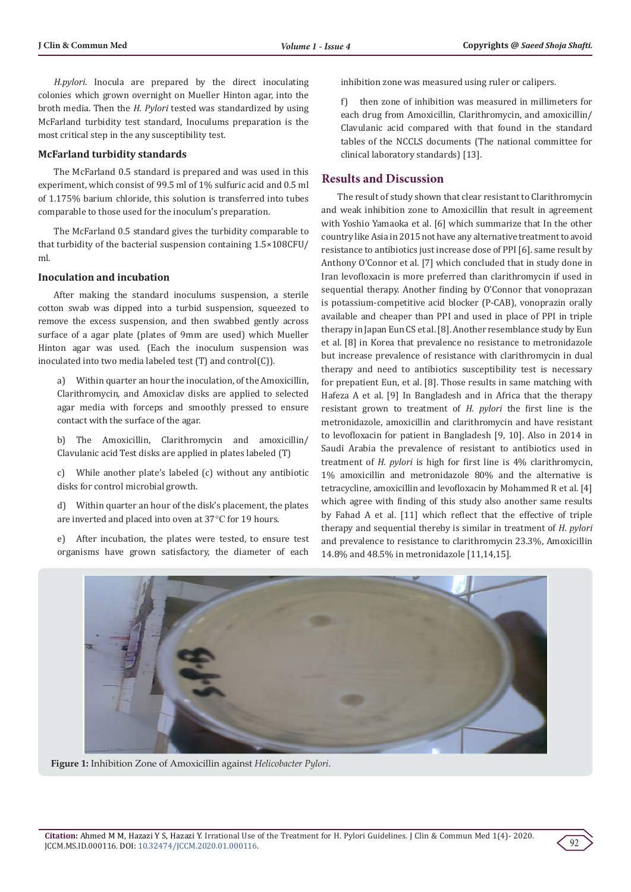*H.pylori.* Inocula are prepared by the direct inoculating colonies which grown overnight on Mueller Hinton agar, into the broth media. Then the *H. Pylori* tested was standardized by using McFarland turbidity test standard, Inoculums preparation is the most critical step in the any susceptibility test.

## **McFarland turbidity standards**

The McFarland 0.5 standard is prepared and was used in this experiment, which consist of 99.5 ml of 1% sulfuric acid and 0.5 ml of 1.175% barium chloride, this solution is transferred into tubes comparable to those used for the inoculum's preparation.

The McFarland 0.5 standard gives the turbidity comparable to that turbidity of the bacterial suspension containing 1.5×108CFU/ ml.

## **Inoculation and incubation**

After making the standard inoculums suspension, a sterile cotton swab was dipped into a turbid suspension, squeezed to remove the excess suspension, and then swabbed gently across surface of a agar plate (plates of 9mm are used) which Mueller Hinton agar was used. (Each the inoculum suspension was inoculated into two media labeled test (T) and control(C)).

a) Within quarter an hour the inoculation, of the Amoxicillin, Clarithromycin, and Amoxiclav disks are applied to selected agar media with forceps and smoothly pressed to ensure contact with the surface of the agar.

b) The Amoxicillin, Clarithromycin and amoxicillin/ Clavulanic acid Test disks are applied in plates labeled (T)

c) While another plate's labeled (c) without any antibiotic disks for control microbial growth.

d) Within quarter an hour of the disk's placement, the plates are inverted and placed into oven at 37°C for 19 hours.

e) After incubation, the plates were tested, to ensure test organisms have grown satisfactory, the diameter of each

inhibition zone was measured using ruler or calipers.

f) then zone of inhibition was measured in millimeters for each drug from Amoxicillin, Clarithromycin, and amoxicillin/ Clavulanic acid compared with that found in the standard tables of the NCCLS documents (The national committee for clinical laboratory standards) [13].

## **Results and Discussion**

The result of study shown that clear resistant to Clarithromycin and weak inhibition zone to Amoxicillin that result in agreement with Yoshio Yamaoka et al. [6] which summarize that In the other country like Asia in 2015 not have any alternative treatment to avoid resistance to antibiotics just increase dose of PPI [6]. same result by Anthony O'Connor et al. [7] which concluded that in study done in Iran levofloxacin is more preferred than clarithromycin if used in sequential therapy. Another finding by O'Connor that vonoprazan is potassium-competitive acid blocker (P-CAB), vonoprazin orally available and cheaper than PPI and used in place of PPI in triple therapy in Japan Eun CS et al. [8]. Another resemblance study by Eun et al. [8] in Korea that prevalence no resistance to metronidazole but increase prevalence of resistance with clarithromycin in dual therapy and need to antibiotics susceptibility test is necessary for prepatient Eun, et al. [8]. Those results in same matching with Hafeza A et al. [9] In Bangladesh and in Africa that the therapy resistant grown to treatment of *H. pylori* the first line is the metronidazole, amoxicillin and clarithromycin and have resistant to levofloxacin for patient in Bangladesh [9, 10]. Also in 2014 in Saudi Arabia the prevalence of resistant to antibiotics used in treatment of *H. pylori* is high for first line is 4% clarithromycin, 1% amoxicillin and metronidazole 80% and the alternative is tetracycline, amoxicillin and levofloxacin by Mohammed R et al. [4] which agree with finding of this study also another same results by Fahad A et al. [11] which reflect that the effective of triple therapy and sequential thereby is similar in treatment of *H. pylori* and prevalence to resistance to clarithromycin 23.3%, Amoxicillin 14.8% and 48.5% in metronidazole [11,14,15].



**Figure 1:** Inhibition Zone of Amoxicillin against *Helicobacter Pylori*.

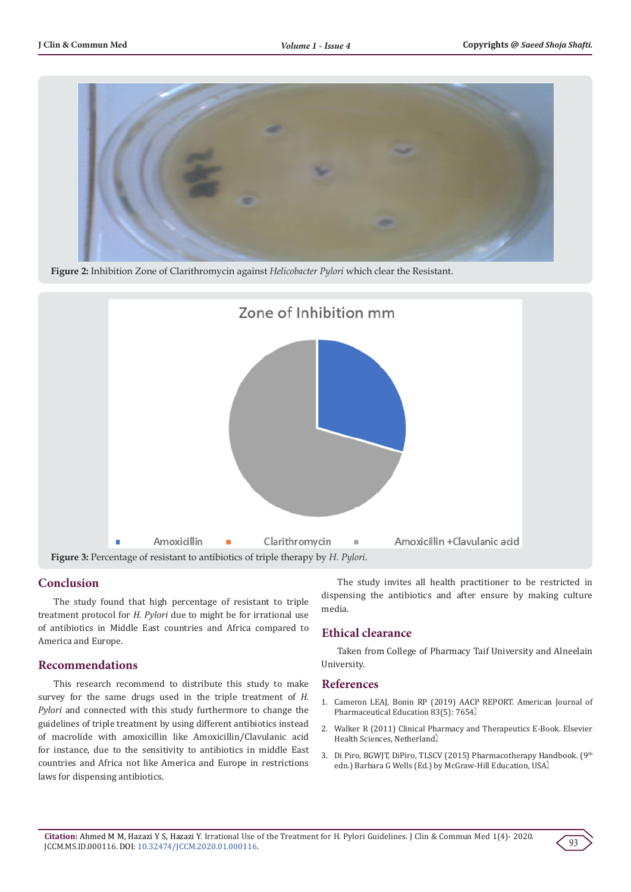

**Figure 2:** Inhibition Zone of Clarithromycin against *Helicobacter Pylori* which clear the Resistant.



## **Conclusion**

The study found that high percentage of resistant to triple treatment protocol for *H. Pylori* due to might be for irrational use of antibiotics in Middle East countries and Africa compared to America and Europe.

## **Recommendations**

This research recommend to distribute this study to make survey for the same drugs used in the triple treatment of *H. Pylori* and connected with this study furthermore to change the guidelines of triple treatment by using different antibiotics instead of macrolide with amoxicillin like Amoxicillin/Clavulanic acid for instance, due to the sensitivity to antibiotics in middle East countries and Africa not like America and Europe in restrictions laws for dispensing antibiotics.

The study invites all health practitioner to be restricted in dispensing the antibiotics and after ensure by making culture media.

# **Ethical clearance**

Taken from College of Pharmacy Taif University and Alneelain University.

## **References**

- 1. Cameron LEAJ, Bonin RP (2019) AACP REPORT. American Journal of Pharmaceutical Education 83(5): 7654.
- 2. Walker R (2011) Clinical Pharmacy and Therapeutics E-Book. Elsevier Health Sciences, Netherland.
- 3. Di Piro, BGWJT, DiPiro, TLSCV (2015) Pharmacotherapy Handbook. (9th edn.) Barbara G Wells (Ed.) by McGraw-Hill Education, USA.